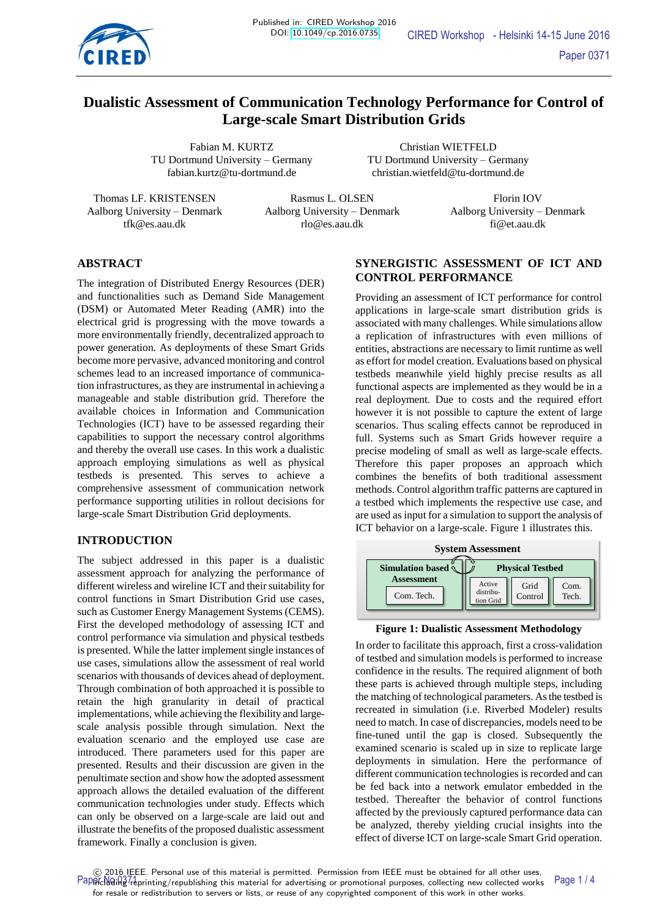

# **Dualistic Assessment of Communication Technology Performance for Control of Large-scale Smart Distribution Grids**

TU Dortmund University – Germany TU Dortmund University – Germany

Fabian M. KURTZ Christian WIETFELD fabian.kurtz@tu-dortmund.de christian.wietfeld@tu-dortmund.de

Thomas LF. KRISTENSEN Rasmus L. OLSEN Florin IOV Aalborg University – Denmark Aalborg University – Denmark Aalborg University – Denmark tfk@es.aau.dk rlo@es.aau.dk fi@et.aau.dk

# **ABSTRACT**

The integration of Distributed Energy Resources (DER) and functionalities such as Demand Side Management (DSM) or Automated Meter Reading (AMR) into the electrical grid is progressing with the move towards a more environmentally friendly, decentralized approach to power generation. As deployments of these Smart Grids become more pervasive, advanced monitoring and control schemes lead to an increased importance of communication infrastructures, as they are instrumental in achieving a manageable and stable distribution grid. Therefore the available choices in Information and Communication Technologies (ICT) have to be assessed regarding their capabilities to support the necessary control algorithms and thereby the overall use cases. In this work a dualistic approach employing simulations as well as physical testbeds is presented. This serves to achieve a comprehensive assessment of communication network performance supporting utilities in rollout decisions for large-scale Smart Distribution Grid deployments.

### **INTRODUCTION**

The subject addressed in this paper is a dualistic assessment approach for analyzing the performance of different wireless and wireline ICT and their suitability for control functions in Smart Distribution Grid use cases, such as Customer Energy Management Systems (CEMS). First the developed methodology of assessing ICT and control performance via simulation and physical testbeds is presented. While the latter implement single instances of use cases, simulations allow the assessment of real world scenarios with thousands of devices ahead of deployment. Through combination of both approached it is possible to retain the high granularity in detail of practical implementations, while achieving the flexibility and largescale analysis possible through simulation. Next the evaluation scenario and the employed use case are introduced. There parameters used for this paper are presented. Results and their discussion are given in the penultimate section and show how the adopted assessment approach allows the detailed evaluation of the different communication technologies under study. Effects which can only be observed on a large-scale are laid out and illustrate the benefits of the proposed dualistic assessment framework. Finally a conclusion is given.

# **SYNERGISTIC ASSESSMENT OF ICT AND CONTROL PERFORMANCE**

Providing an assessment of ICT performance for control applications in large-scale smart distribution grids is associated with many challenges. While simulations allow a replication of infrastructures with even millions of entities, abstractions are necessary to limit runtime as well as effort for model creation. Evaluations based on physical testbeds meanwhile yield highly precise results as all functional aspects are implemented as they would be in a real deployment. Due to costs and the required effort however it is not possible to capture the extent of large scenarios. Thus scaling effects cannot be reproduced in full. Systems such as Smart Grids however require a precise modeling of small as well as large-scale effects. Therefore this paper proposes an approach which combines the benefits of both traditional assessment methods. Control algorithm traffic patterns are captured in a testbed which implements the respective use case, and are used as input for a simulation to support the analysis of ICT behavior on a large-scale. Figure 1 illustrates this.



### **Figure 1: Dualistic Assessment Methodology**

In order to facilitate this approach, first a cross-validation of testbed and simulation models is performed to increase confidence in the results. The required alignment of both these parts is achieved through multiple steps, including the matching of technological parameters. As the testbed is recreated in simulation (i.e. Riverbed Modeler) results need to match. In case of discrepancies, models need to be fine-tuned until the gap is closed. Subsequently the examined scenario is scaled up in size to replicate large deployments in simulation. Here the performance of different communication technologies is recorded and can be fed back into a network emulator embedded in the testbed. Thereafter the behavior of control functions affected by the previously captured performance data can be analyzed, thereby yielding crucial insights into the effect of diverse ICT on large-scale Smart Grid operation.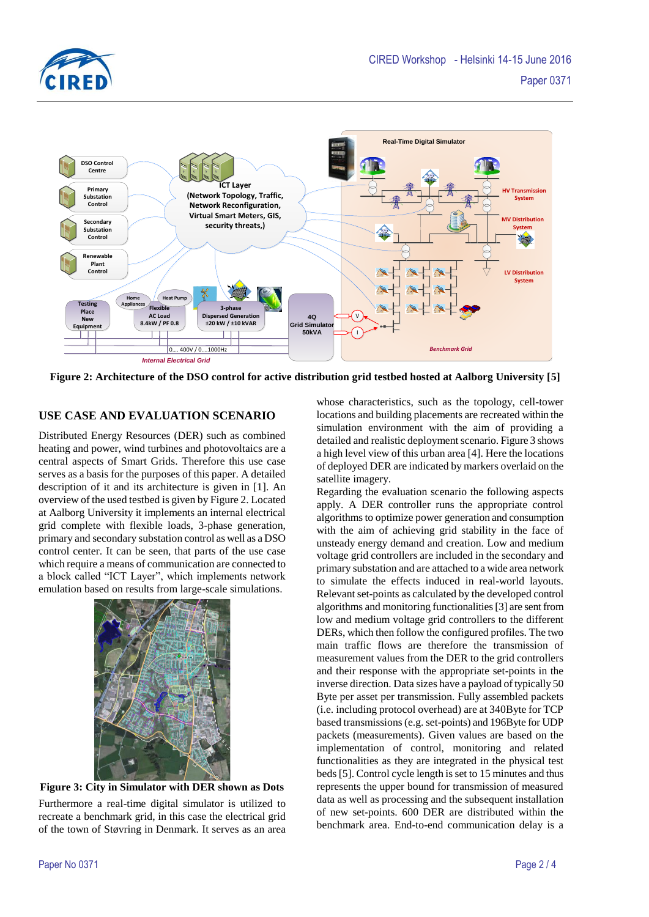



**Figure 2: Architecture of the DSO control for active distribution grid testbed hosted at Aalborg University [5]**

# **USE CASE AND EVALUATION SCENARIO**

Distributed Energy Resources (DER) such as combined heating and power, wind turbines and photovoltaics are a central aspects of Smart Grids. Therefore this use case serves as a basis for the purposes of this paper. A detailed description of it and its architecture is given in [1]. An overview of the used testbed is given by Figure 2. Located at Aalborg University it implements an internal electrical grid complete with flexible loads, 3-phase generation, primary and secondary substation control as well as a DSO control center. It can be seen, that parts of the use case which require a means of communication are connected to a block called "ICT Layer", which implements network emulation based on results from large-scale simulations.



**Figure 3: City in Simulator with DER shown as Dots** Furthermore a real-time digital simulator is utilized to recreate a benchmark grid, in this case the electrical grid of the town of Støvring in Denmark. It serves as an area

whose characteristics, such as the topology, cell-tower locations and building placements are recreated within the simulation environment with the aim of providing a detailed and realistic deployment scenario. Figure 3 shows a high level view of this urban area [4]. Here the locations of deployed DER are indicated by markers overlaid on the satellite imagery.

Regarding the evaluation scenario the following aspects apply. A DER controller runs the appropriate control algorithms to optimize power generation and consumption with the aim of achieving grid stability in the face of unsteady energy demand and creation. Low and medium voltage grid controllers are included in the secondary and primary substation and are attached to a wide area network to simulate the effects induced in real-world layouts. Relevant set-points as calculated by the developed control algorithms and monitoring functionalities [3] are sent from low and medium voltage grid controllers to the different DERs, which then follow the configured profiles. The two main traffic flows are therefore the transmission of measurement values from the DER to the grid controllers and their response with the appropriate set-points in the inverse direction. Data sizes have a payload of typically 50 Byte per asset per transmission. Fully assembled packets (i.e. including protocol overhead) are at 340Byte for TCP based transmissions (e.g. set-points) and 196Byte for UDP packets (measurements). Given values are based on the implementation of control, monitoring and related functionalities as they are integrated in the physical test beds[5]. Control cycle length is set to 15 minutes and thus represents the upper bound for transmission of measured data as well as processing and the subsequent installation of new set-points. 600 DER are distributed within the benchmark area. End-to-end communication delay is a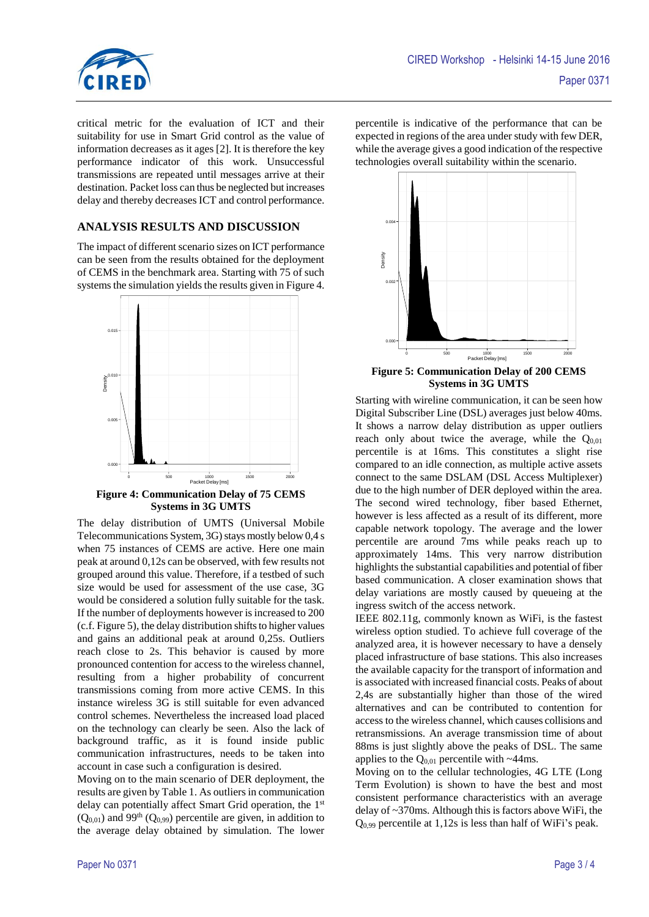

critical metric for the evaluation of ICT and their suitability for use in Smart Grid control as the value of information decreases as it ages [2]. It is therefore the key performance indicator of this work. Unsuccessful transmissions are repeated until messages arrive at their destination. Packet loss can thus be neglected but increases delay and thereby decreases ICT and control performance.

# **ANALYSIS RESULTS AND DISCUSSION**

The impact of different scenario sizes on ICT performance can be seen from the results obtained for the deployment of CEMS in the benchmark area. Starting with 75 of such systems the simulation yields the results given in Figure 4.



**Figure 4: Communication Delay of 75 CEMS Systems in 3G UMTS**

The delay distribution of UMTS (Universal Mobile Telecommunications System,  $3G$ ) stays mostly below 0,4 s when 75 instances of CEMS are active. Here one main peak at around 0,12s can be observed, with few results not grouped around this value. Therefore, if a testbed of such size would be used for assessment of the use case, 3G would be considered a solution fully suitable for the task. If the number of deployments however is increased to 200 (c.f. Figure 5), the delay distribution shifts to higher values and gains an additional peak at around 0,25s. Outliers reach close to 2s. This behavior is caused by more pronounced contention for access to the wireless channel, resulting from a higher probability of concurrent transmissions coming from more active CEMS. In this instance wireless 3G is still suitable for even advanced control schemes. Nevertheless the increased load placed on the technology can clearly be seen. Also the lack of background traffic, as it is found inside public communication infrastructures, needs to be taken into account in case such a configuration is desired.

Moving on to the main scenario of DER deployment, the results are given by Table 1. As outliers in communication delay can potentially affect Smart Grid operation, the 1<sup>st</sup>  $(Q_{0.01})$  and 99<sup>th</sup> ( $Q_{0.99}$ ) percentile are given, in addition to the average delay obtained by simulation. The lower

percentile is indicative of the performance that can be expected in regions of the area under study with few DER, while the average gives a good indication of the respective technologies overall suitability within the scenario.



**Figure 5: Communication Delay of 200 CEMS Systems in 3G UMTS**

Starting with wireline communication, it can be seen how Digital Subscriber Line (DSL) averages just below 40ms. It shows a narrow delay distribution as upper outliers reach only about twice the average, while the  $Q_{0.01}$ percentile is at 16ms. This constitutes a slight rise compared to an idle connection, as multiple active assets connect to the same DSLAM (DSL Access Multiplexer) due to the high number of DER deployed within the area. The second wired technology, fiber based Ethernet, however is less affected as a result of its different, more capable network topology. The average and the lower percentile are around 7ms while peaks reach up to approximately 14ms. This very narrow distribution highlights the substantial capabilities and potential of fiber based communication. A closer examination shows that delay variations are mostly caused by queueing at the ingress switch of the access network.

IEEE 802.11g, commonly known as WiFi, is the fastest wireless option studied. To achieve full coverage of the analyzed area, it is however necessary to have a densely placed infrastructure of base stations. This also increases the available capacity for the transport of information and is associated with increased financial costs. Peaks of about 2,4s are substantially higher than those of the wired alternatives and can be contributed to contention for access to the wireless channel, which causes collisions and retransmissions. An average transmission time of about 88ms is just slightly above the peaks of DSL. The same applies to the  $Q_{0.01}$  percentile with ~44ms.

Moving on to the cellular technologies, 4G LTE (Long Term Evolution) is shown to have the best and most consistent performance characteristics with an average delay of ~370ms. Although this is factors above WiFi, the  $Q<sub>0.99</sub>$  percentile at 1,12s is less than half of WiFi's peak.